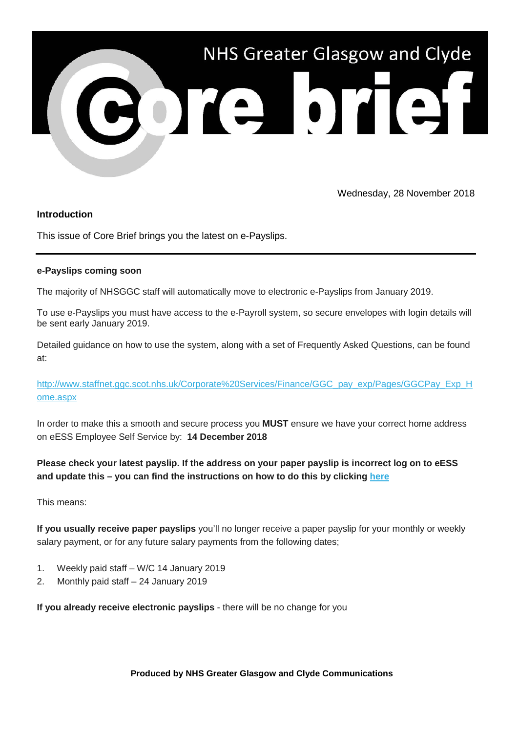

Wednesday, 28 November 2018

## **Introduction**

This issue of Core Brief brings you the latest on e-Payslips.

## **e-Payslips coming soon**

The majority of NHSGGC staff will automatically move to electronic e-Payslips from January 2019.

To use e-Payslips you must have access to the e-Payroll system, so secure envelopes with login details will be sent early January 2019.

Detailed guidance on how to use the system, along with a set of Frequently Asked Questions, can be found at:

[http://www.staffnet.ggc.scot.nhs.uk/Corporate%20Services/Finance/GGC\\_pay\\_exp/Pages/GGCPay\\_Exp\\_H](https://nhsggc.us12.list-manage.com/track/click?u=0f385b5aea37eaf0213bd19fb&id=3e45dba2c8&e=5af5e1832c) [ome.aspx](https://nhsggc.us12.list-manage.com/track/click?u=0f385b5aea37eaf0213bd19fb&id=3e45dba2c8&e=5af5e1832c)

In order to make this a smooth and secure process you **MUST** ensure we have your correct home address on eESS Employee Self Service by: **14 December 2018**

**Please check your latest payslip. If the address on your paper payslip is incorrect log on to eESS and update this – you can find the instructions on how to do this by clicking [here](https://nhsggc.us12.list-manage.com/track/click?u=0f385b5aea37eaf0213bd19fb&id=b1a55db63d&e=5af5e1832c)**

This means:

**If you usually receive paper payslips** you'll no longer receive a paper payslip for your monthly or weekly salary payment, or for any future salary payments from the following dates;

- 1. Weekly paid staff W/C 14 January 2019
- 2. Monthly paid staff 24 January 2019

**If you already receive electronic payslips** - there will be no change for you

**Produced by NHS Greater Glasgow and Clyde Communications**